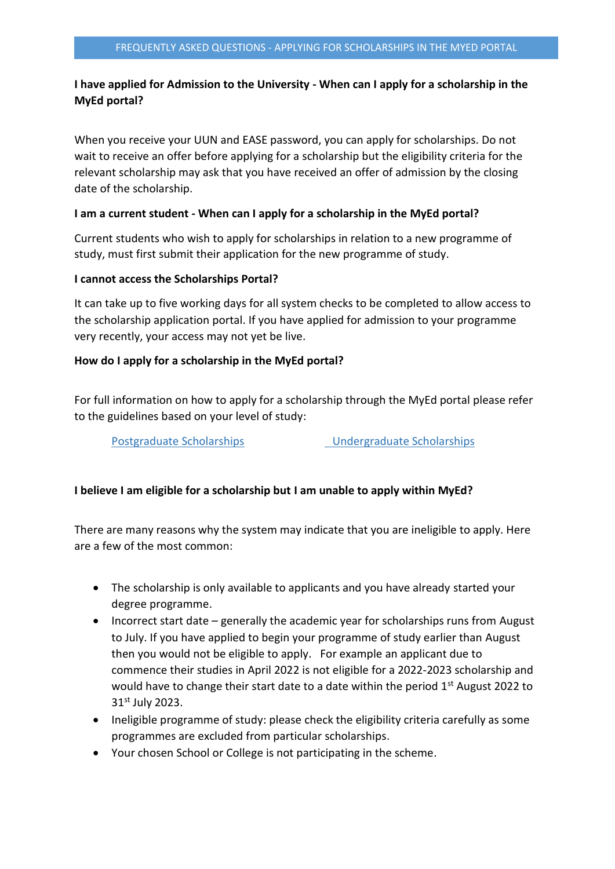# **I have applied for Admission to the University - When can I apply for a scholarship in the MyEd portal?**

When you receive your UUN and EASE password, you can apply for scholarships. Do not wait to receive an offer before applying for a scholarship but the eligibility criteria for the relevant scholarship may ask that you have received an offer of admission by the closing date of the scholarship.

### **I am a current student - When can I apply for a scholarship in the MyEd portal?**

Current students who wish to apply for scholarships in relation to a new programme of study, must first submit their application for the new programme of study.

## **I cannot access the Scholarships Portal?**

It can take up to five working days for all system checks to be completed to allow access to the scholarship application portal. If you have applied for admission to your programme very recently, your access may not yet be live.

## **How do I apply for a scholarship in the MyEd portal?**

For full information on how to apply for a scholarship through the MyEd portal please refer to the guidelines based on your level of study:

[Postgraduate Scholarships](https://www.ed.ac.uk/student-systems/support-guidance/applicants/apply-scholarship/pg-scholarship) [Undergraduate Scholarships](https://www.ed.ac.uk/student-systems/support-guidance/applicants/apply-scholarship/ucas-scholarship)

## **I believe I am eligible for a scholarship but I am unable to apply within MyEd?**

There are many reasons why the system may indicate that you are ineligible to apply. Here are a few of the most common:

- The scholarship is only available to applicants and you have already started your degree programme.
- Incorrect start date generally the academic year for scholarships runs from August to July. If you have applied to begin your programme of study earlier than August then you would not be eligible to apply. For example an applicant due to commence their studies in April 2022 is not eligible for a 2022-2023 scholarship and would have to change their start date to a date within the period  $1<sup>st</sup>$  August 2022 to 31st July 2023.
- Ineligible programme of study: please check the eligibility criteria carefully as some programmes are excluded from particular scholarships.
- Your chosen School or College is not participating in the scheme.